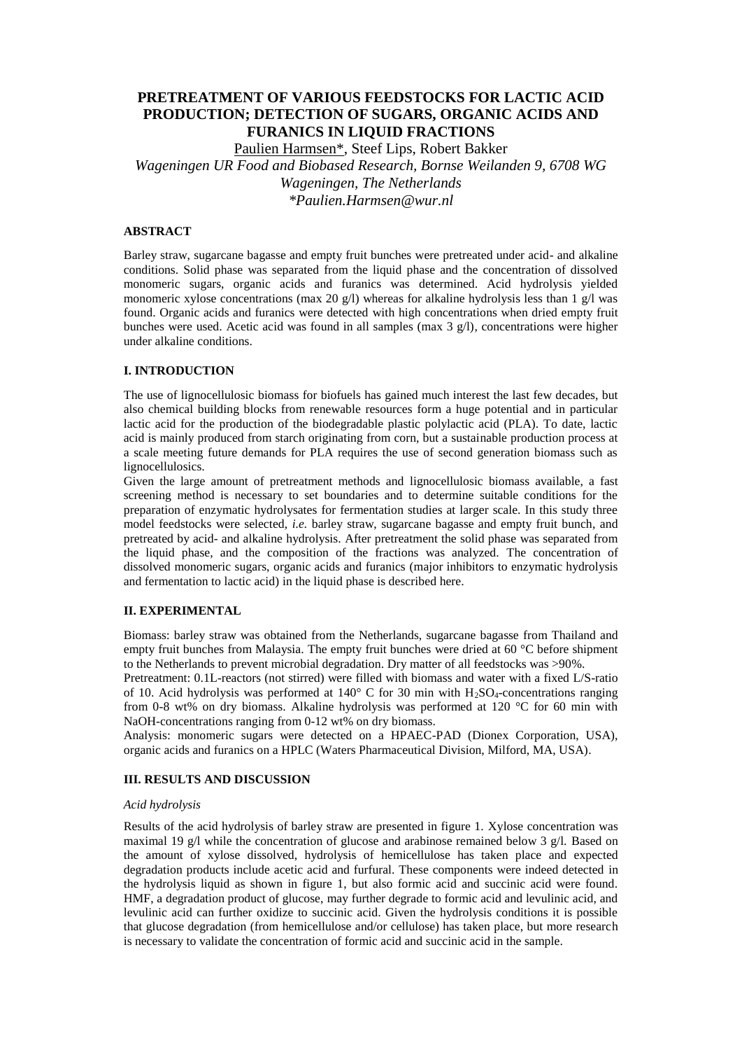# **PRETREATMENT OF VARIOUS FEEDSTOCKS FOR LACTIC ACID PRODUCTION; DETECTION OF SUGARS, ORGANIC ACIDS AND FURANICS IN LIQUID FRACTIONS**

Paulien Harmsen\*, Steef Lips, Robert Bakker

*Wageningen UR Food and Biobased Research, Bornse Weilanden 9, 6708 WG Wageningen, The Netherlands*

*\*Paulien.Harmsen@wur.nl*

# **ABSTRACT**

Barley straw, sugarcane bagasse and empty fruit bunches were pretreated under acid- and alkaline conditions. Solid phase was separated from the liquid phase and the concentration of dissolved monomeric sugars, organic acids and furanics was determined. Acid hydrolysis yielded monomeric xylose concentrations (max 20 g/l) whereas for alkaline hydrolysis less than 1 g/l was found. Organic acids and furanics were detected with high concentrations when dried empty fruit bunches were used. Acetic acid was found in all samples (max  $3$  g/l), concentrations were higher under alkaline conditions.

### **I. INTRODUCTION**

The use of lignocellulosic biomass for biofuels has gained much interest the last few decades, but also chemical building blocks from renewable resources form a huge potential and in particular lactic acid for the production of the biodegradable plastic polylactic acid (PLA). To date, lactic acid is mainly produced from starch originating from corn, but a sustainable production process at a scale meeting future demands for PLA requires the use of second generation biomass such as lignocellulosics.

Given the large amount of pretreatment methods and lignocellulosic biomass available, a fast screening method is necessary to set boundaries and to determine suitable conditions for the preparation of enzymatic hydrolysates for fermentation studies at larger scale. In this study three model feedstocks were selected, *i.e.* barley straw, sugarcane bagasse and empty fruit bunch, and pretreated by acid- and alkaline hydrolysis. After pretreatment the solid phase was separated from the liquid phase, and the composition of the fractions was analyzed. The concentration of dissolved monomeric sugars, organic acids and furanics (major inhibitors to enzymatic hydrolysis and fermentation to lactic acid) in the liquid phase is described here.

# **II. EXPERIMENTAL**

Biomass: barley straw was obtained from the Netherlands, sugarcane bagasse from Thailand and empty fruit bunches from Malaysia. The empty fruit bunches were dried at 60 °C before shipment to the Netherlands to prevent microbial degradation. Dry matter of all feedstocks was >90%.

Pretreatment: 0.1L-reactors (not stirred) were filled with biomass and water with a fixed L/S-ratio of 10. Acid hydrolysis was performed at  $140^{\circ}$  C for 30 min with H<sub>2</sub>SO<sub>4</sub>-concentrations ranging from 0-8 wt% on dry biomass. Alkaline hydrolysis was performed at 120 °C for 60 min with NaOH-concentrations ranging from 0-12 wt% on dry biomass.

Analysis: monomeric sugars were detected on a HPAEC-PAD (Dionex Corporation, USA), organic acids and furanics on a HPLC (Waters Pharmaceutical Division, Milford, MA, USA).

#### **III. RESULTS AND DISCUSSION**

#### *Acid hydrolysis*

Results of the acid hydrolysis of barley straw are presented in figure 1. Xylose concentration was maximal 19 g/l while the concentration of glucose and arabinose remained below 3 g/l. Based on the amount of xylose dissolved, hydrolysis of hemicellulose has taken place and expected degradation products include acetic acid and furfural. These components were indeed detected in the hydrolysis liquid as shown in figure 1, but also formic acid and succinic acid were found. HMF, a degradation product of glucose, may further degrade to formic acid and levulinic acid, and levulinic acid can further oxidize to succinic acid. Given the hydrolysis conditions it is possible that glucose degradation (from hemicellulose and/or cellulose) has taken place, but more research is necessary to validate the concentration of formic acid and succinic acid in the sample.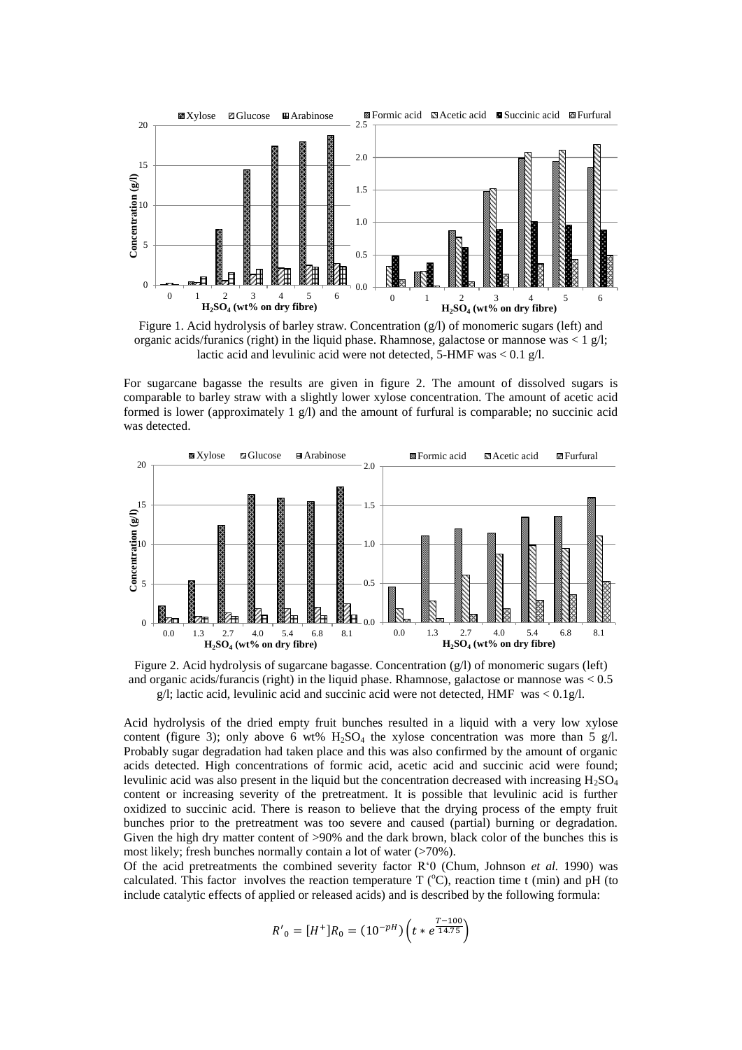

Figure 1. Acid hydrolysis of barley straw. Concentration (g/l) of monomeric sugars (left) and organic acids/furanics (right) in the liquid phase. Rhamnose, galactose or mannose was  $\langle 1 \text{ g/l};$ lactic acid and levulinic acid were not detected, 5-HMF was < 0.1 g/l.

For sugarcane bagasse the results are given in figure 2. The amount of dissolved sugars is comparable to barley straw with a slightly lower xylose concentration. The amount of acetic acid formed is lower (approximately 1 g/l) and the amount of furfural is comparable; no succinic acid was detected.





Acid hydrolysis of the dried empty fruit bunches resulted in a liquid with a very low xylose content (figure 3); only above 6 wt%  $H_2SO_4$  the xylose concentration was more than 5 g/l. Probably sugar degradation had taken place and this was also confirmed by the amount of organic acids detected. High concentrations of formic acid, acetic acid and succinic acid were found; levulinic acid was also present in the liquid but the concentration decreased with increasing  $H_2SO_4$ content or increasing severity of the pretreatment. It is possible that levulinic acid is further oxidized to succinic acid. There is reason to believe that the drying process of the empty fruit bunches prior to the pretreatment was too severe and caused (partial) burning or degradation. Given the high dry matter content of >90% and the dark brown, black color of the bunches this is most likely; fresh bunches normally contain a lot of water (>70%).

Of the acid pretreatments the combined severity factor R'0 [\(Chum, Johnson](#page-3-0) *et al.* 1990) was calculated. This factor involves the reaction temperature T  $(^{\circ}C)$ , reaction time t (min) and pH (to include catalytic effects of applied or released acids) and is described by the following formula:

$$
R'_{0} = [H^{+}]R_{0} = (10^{-pH}) \left( t * e^{\frac{T - 100}{14.75}} \right)
$$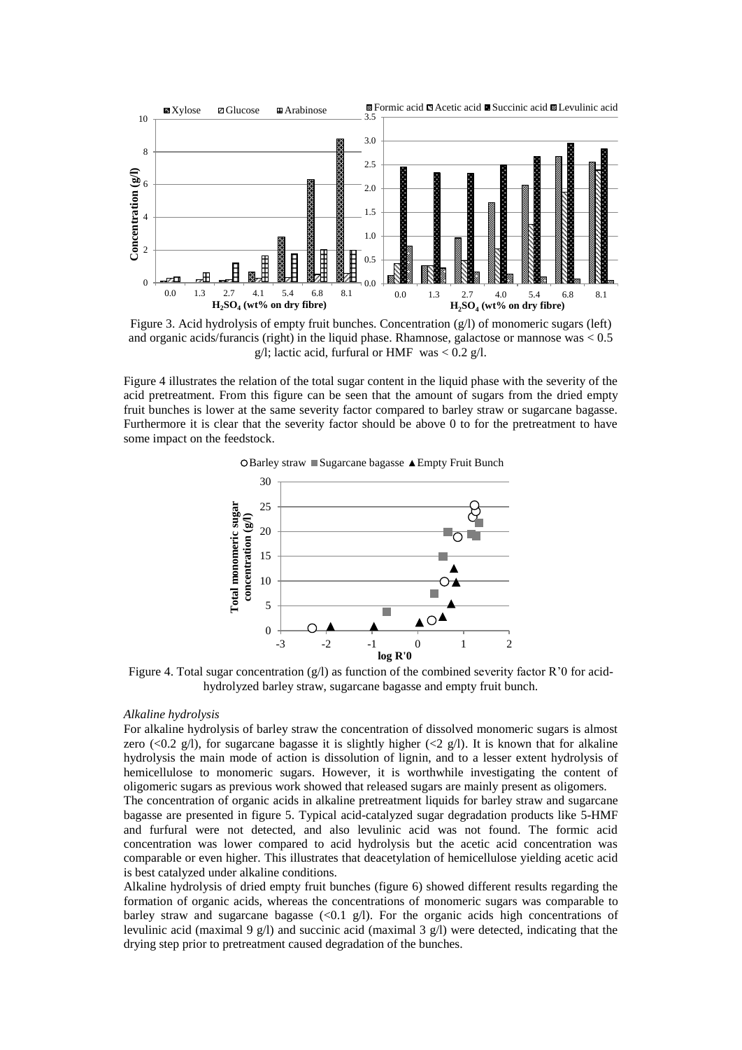

Figure 3. Acid hydrolysis of empty fruit bunches. Concentration (g/l) of monomeric sugars (left) and organic acids/furancis (right) in the liquid phase. Rhamnose, galactose or mannose was < 0.5 g/l; lactic acid, furfural or HMF was  $< 0.2$  g/l.

Figure 4 illustrates the relation of the total sugar content in the liquid phase with the severity of the acid pretreatment. From this figure can be seen that the amount of sugars from the dried empty fruit bunches is lower at the same severity factor compared to barley straw or sugarcane bagasse. Furthermore it is clear that the severity factor should be above 0 to for the pretreatment to have some impact on the feedstock.



 $\triangle$ Barley straw Sugarcane bagasse  $\triangle$  Empty Fruit Bunch

Figure 4. Total sugar concentration  $(g/l)$  as function of the combined severity factor R'0 for acidhydrolyzed barley straw, sugarcane bagasse and empty fruit bunch.

#### *Alkaline hydrolysis*

For alkaline hydrolysis of barley straw the concentration of dissolved monomeric sugars is almost zero (<0.2 g/l), for sugarcane bagasse it is slightly higher (<2 g/l). It is known that for alkaline hydrolysis the main mode of action is dissolution of lignin, and to a lesser extent hydrolysis of hemicellulose to monomeric sugars. However, it is worthwhile investigating the content of oligomeric sugars as previous work showed that released sugars are mainly present as oligomers.

The concentration of organic acids in alkaline pretreatment liquids for barley straw and sugarcane bagasse are presented in figure 5. Typical acid-catalyzed sugar degradation products like 5-HMF and furfural were not detected, and also levulinic acid was not found. The formic acid concentration was lower compared to acid hydrolysis but the acetic acid concentration was comparable or even higher. This illustrates that deacetylation of hemicellulose yielding acetic acid is best catalyzed under alkaline conditions.

Alkaline hydrolysis of dried empty fruit bunches (figure 6) showed different results regarding the formation of organic acids, whereas the concentrations of monomeric sugars was comparable to barley straw and sugarcane bagasse  $(\leq 0.1 \text{ g/l})$ . For the organic acids high concentrations of levulinic acid (maximal 9 g/l) and succinic acid (maximal 3 g/l) were detected, indicating that the drying step prior to pretreatment caused degradation of the bunches.